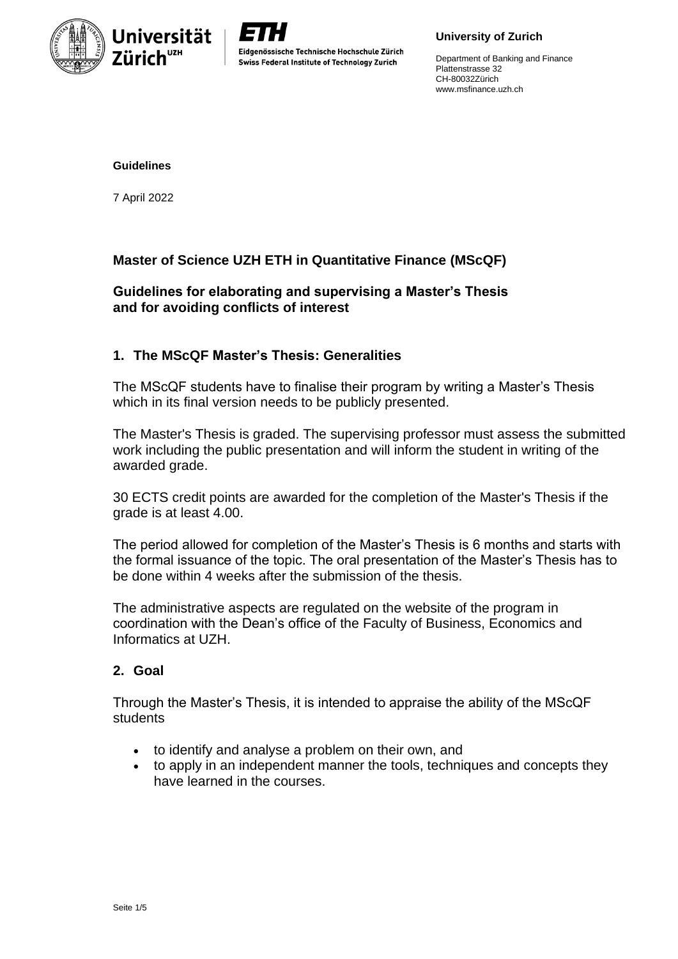



Department of Banking and Finance Plattenstrasse 32 CH-80032Zürich www.msfinance.uzh.ch

#### **Guidelines**

7 April 2022

# **Master of Science UZH ETH in Quantitative Finance (MScQF)**

# **Guidelines for elaborating and supervising a Master's Thesis and for avoiding conflicts of interest**

## **1. The MScQF Master's Thesis: Generalities**

The MScQF students have to finalise their program by writing a Master's Thesis which in its final version needs to be publicly presented.

The Master's Thesis is graded. The supervising professor must assess the submitted work including the public presentation and will inform the student in writing of the awarded grade.

30 ECTS credit points are awarded for the completion of the Master's Thesis if the grade is at least 4.00.

The period allowed for completion of the Master's Thesis is 6 months and starts with the formal issuance of the topic. The oral presentation of the Master's Thesis has to be done within 4 weeks after the submission of the thesis.

The administrative aspects are regulated on the website of the program in coordination with the Dean's office of the Faculty of Business, Economics and Informatics at UZH.

## **2. Goal**

Through the Master's Thesis, it is intended to appraise the ability of the MScQF students

- to identify and analyse a problem on their own, and
- to apply in an independent manner the tools, techniques and concepts they have learned in the courses.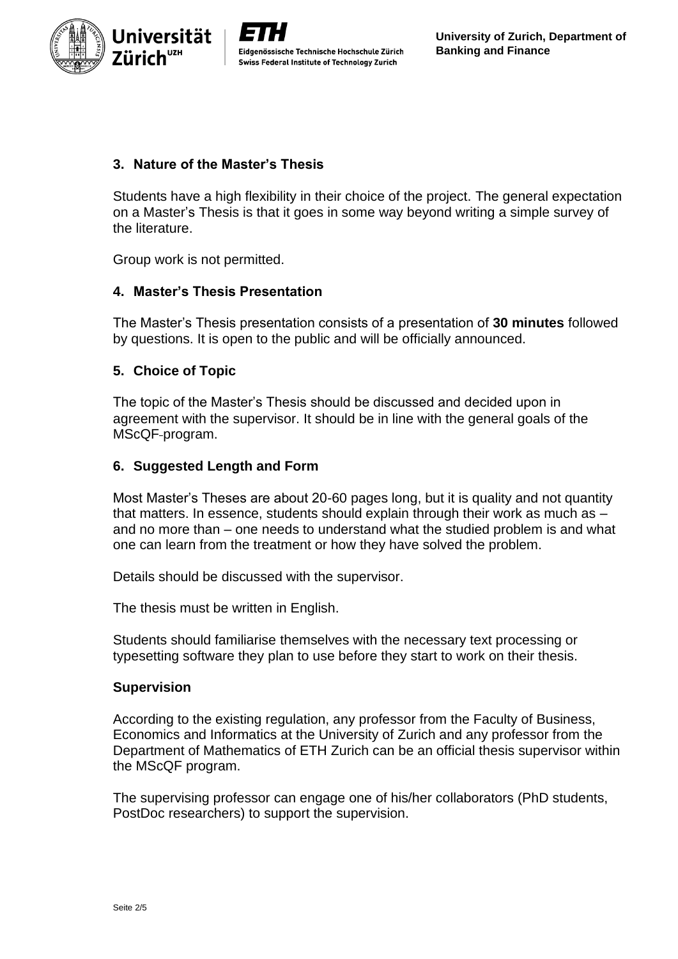

Eidgenössische Technische Hochschule Zürich Swiss Federal Institute of Technology Zurich

# **3. Nature of the Master's Thesis**

Students have a high flexibility in their choice of the project. The general expectation on a Master's Thesis is that it goes in some way beyond writing a simple survey of the literature.

Group work is not permitted.

## **4. Master's Thesis Presentation**

The Master's Thesis presentation consists of a presentation of **30 minutes** followed by questions. It is open to the public and will be officially announced.

### **5. Choice of Topic**

The topic of the Master's Thesis should be discussed and decided upon in agreement with the supervisor. It should be in line with the general goals of the MScQF program.

### **6. Suggested Length and Form**

Most Master's Theses are about 20-60 pages long, but it is quality and not quantity that matters. In essence, students should explain through their work as much as – and no more than – one needs to understand what the studied problem is and what one can learn from the treatment or how they have solved the problem.

Details should be discussed with the supervisor.

The thesis must be written in English.

Students should familiarise themselves with the necessary text processing or typesetting software they plan to use before they start to work on their thesis.

### **Supervision**

According to the existing regulation, any professor from the Faculty of Business, Economics and Informatics at the University of Zurich and any professor from the Department of Mathematics of ETH Zurich can be an official thesis supervisor within the MScQF program.

The supervising professor can engage one of his/her collaborators (PhD students, PostDoc researchers) to support the supervision.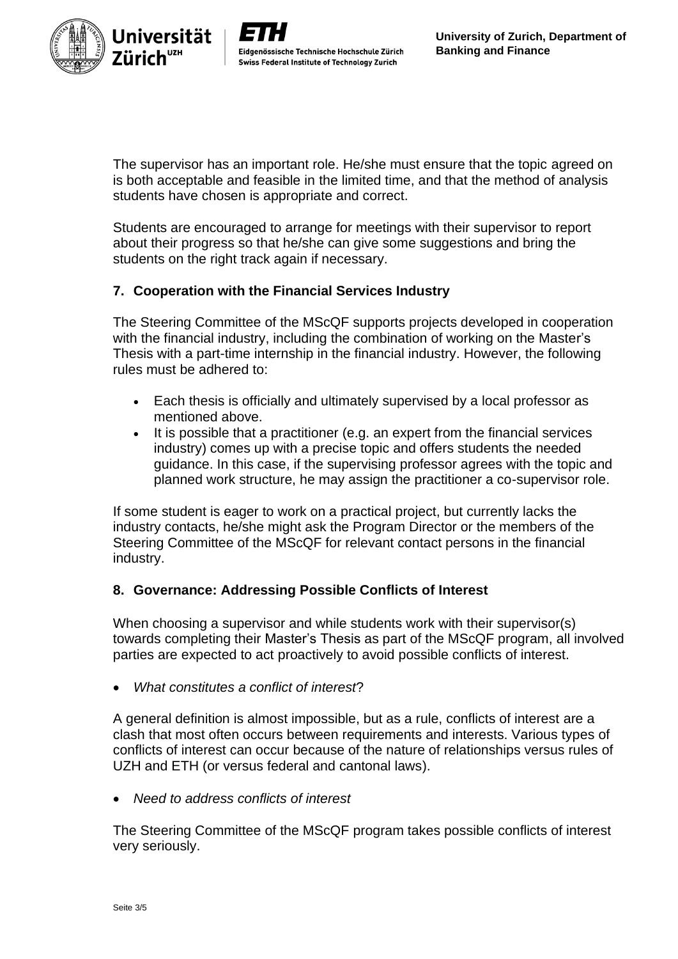



The supervisor has an important role. He/she must ensure that the topic agreed on is both acceptable and feasible in the limited time, and that the method of analysis students have chosen is appropriate and correct.

Students are encouraged to arrange for meetings with their supervisor to report about their progress so that he/she can give some suggestions and bring the students on the right track again if necessary.

# **7. Cooperation with the Financial Services Industry**

The Steering Committee of the MScQF supports projects developed in cooperation with the financial industry, including the combination of working on the Master's Thesis with a part-time internship in the financial industry. However, the following rules must be adhered to:

- Each thesis is officially and ultimately supervised by a local professor as mentioned above.
- It is possible that a practitioner (e.g. an expert from the financial services industry) comes up with a precise topic and offers students the needed guidance. In this case, if the supervising professor agrees with the topic and planned work structure, he may assign the practitioner a co-supervisor role.

If some student is eager to work on a practical project, but currently lacks the industry contacts, he/she might ask the Program Director or the members of the Steering Committee of the MScQF for relevant contact persons in the financial industry.

## **8. Governance: Addressing Possible Conflicts of Interest**

When choosing a supervisor and while students work with their supervisor(s) towards completing their Master's Thesis as part of the MScQF program, all involved parties are expected to act proactively to avoid possible conflicts of interest.

• *What constitutes a conflict of interest*?

A general definition is almost impossible, but as a rule, conflicts of interest are a clash that most often occurs between requirements and interests. Various types of conflicts of interest can occur because of the nature of relationships versus rules of UZH and ETH (or versus federal and cantonal laws).

• *Need to address conflicts of interest*

The Steering Committee of the MScQF program takes possible conflicts of interest very seriously.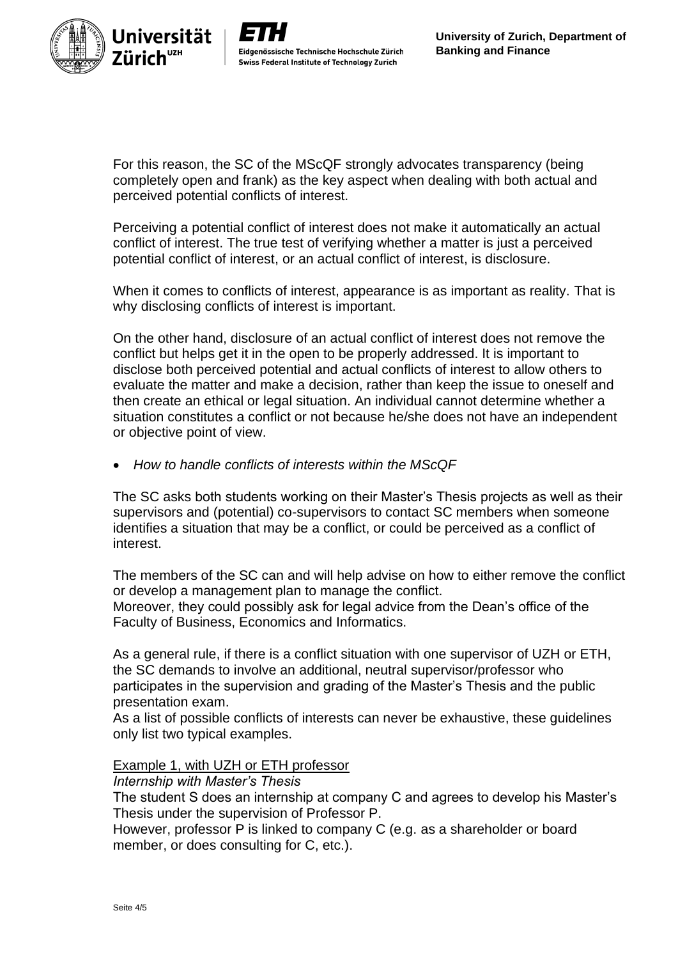

For this reason, the SC of the MScQF strongly advocates transparency (being completely open and frank) as the key aspect when dealing with both actual and perceived potential conflicts of interest.

Perceiving a potential conflict of interest does not make it automatically an actual conflict of interest. The true test of verifying whether a matter is just a perceived potential conflict of interest, or an actual conflict of interest, is disclosure.

When it comes to conflicts of interest, appearance is as important as reality. That is why disclosing conflicts of interest is important.

On the other hand, disclosure of an actual conflict of interest does not remove the conflict but helps get it in the open to be properly addressed. It is important to disclose both perceived potential and actual conflicts of interest to allow others to evaluate the matter and make a decision, rather than keep the issue to oneself and then create an ethical or legal situation. An individual cannot determine whether a situation constitutes a conflict or not because he/she does not have an independent or objective point of view.

• *How to handle conflicts of interests within the MScQF*

The SC asks both students working on their Master's Thesis projects as well as their supervisors and (potential) co-supervisors to contact SC members when someone identifies a situation that may be a conflict, or could be perceived as a conflict of interest.

The members of the SC can and will help advise on how to either remove the conflict or develop a management plan to manage the conflict.

Moreover, they could possibly ask for legal advice from the Dean's office of the Faculty of Business, Economics and Informatics.

As a general rule, if there is a conflict situation with one supervisor of UZH or ETH, the SC demands to involve an additional, neutral supervisor/professor who participates in the supervision and grading of the Master's Thesis and the public presentation exam.

As a list of possible conflicts of interests can never be exhaustive, these guidelines only list two typical examples.

## Example 1, with UZH or ETH professor

### *Internship with Master's Thesis*

The student S does an internship at company C and agrees to develop his Master's Thesis under the supervision of Professor P.

However, professor P is linked to company C (e.g. as a shareholder or board member, or does consulting for C, etc.).